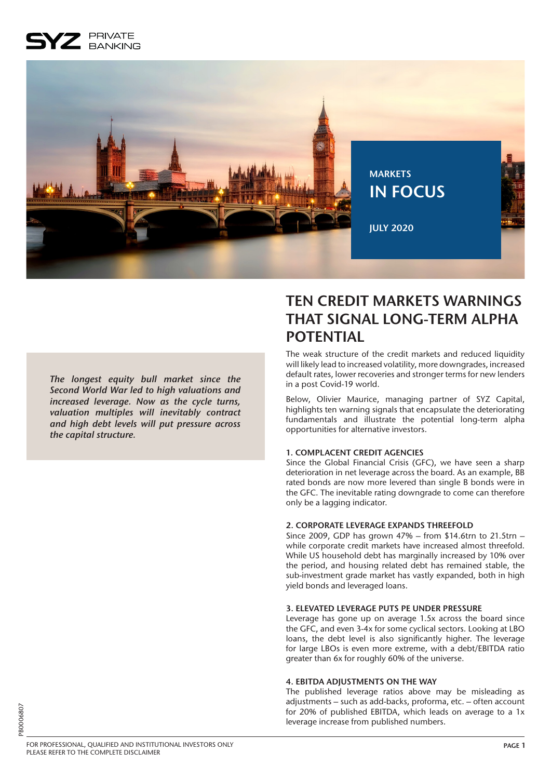## PRIVATE **BANKING**



*The longest equity bull market since the Second World War led to high valuations and increased leverage. Now as the cycle turns, valuation multiples will inevitably contract and high debt levels will put pressure across the capital structure.* 

# **TEN CREDIT MARKETS WARNINGS THAT SIGNAL LONG-TERM ALPHA POTENTIAL**

The weak structure of the credit markets and reduced liquidity will likely lead to increased volatility, more downgrades, increased default rates, lower recoveries and stronger terms for new lenders in a post Covid-19 world.

Below, Olivier Maurice, managing partner of SYZ Capital, highlights ten warning signals that encapsulate the deteriorating fundamentals and illustrate the potential long-term alpha opportunities for alternative investors.

### **1. COMPLACENT CREDIT AGENCIES**

Since the Global Financial Crisis (GFC), we have seen a sharp deterioration in net leverage across the board. As an example, BB rated bonds are now more levered than single B bonds were in the GFC. The inevitable rating downgrade to come can therefore only be a lagging indicator.

### **2. CORPORATE LEVERAGE EXPANDS THREEFOLD**

Since 2009, GDP has grown 47% – from \$14.6trn to 21.5trn – while corporate credit markets have increased almost threefold. While US household debt has marginally increased by 10% over the period, and housing related debt has remained stable, the sub-investment grade market has vastly expanded, both in high yield bonds and leveraged loans.

### **3. ELEVATED LEVERAGE PUTS PE UNDER PRESSURE**

Leverage has gone up on average 1.5x across the board since the GFC, and even 3-4x for some cyclical sectors. Looking at LBO loans, the debt level is also significantly higher. The leverage for large LBOs is even more extreme, with a debt/EBITDA ratio greater than 6x for roughly 60% of the universe.

### **4. EBITDA ADJUSTMENTS ON THE WAY**

The published leverage ratios above may be misleading as adjustments – such as add-backs, proforma, etc. – often account for 20% of published EBITDA, which leads on average to a 1x leverage increase from published numbers.